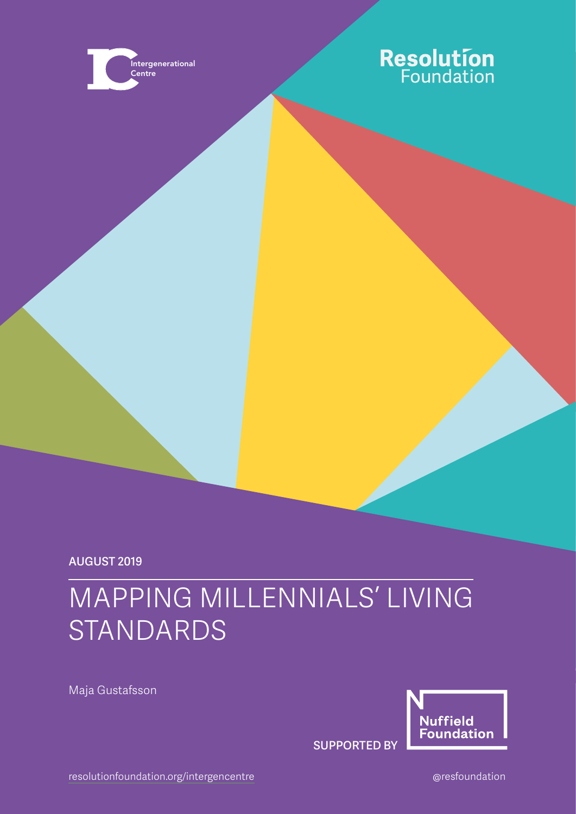

# **Resolution**<br>Foundation

August 2019

# MAPPING MILLENNIALS' LIVING STANDARDS

Maja Gustafsson



SUPPORTED BY

[resolutionfoundation.org/](http://www.resolutionfoundation.org)intergencentre entitled and area are all the control of the control of the control of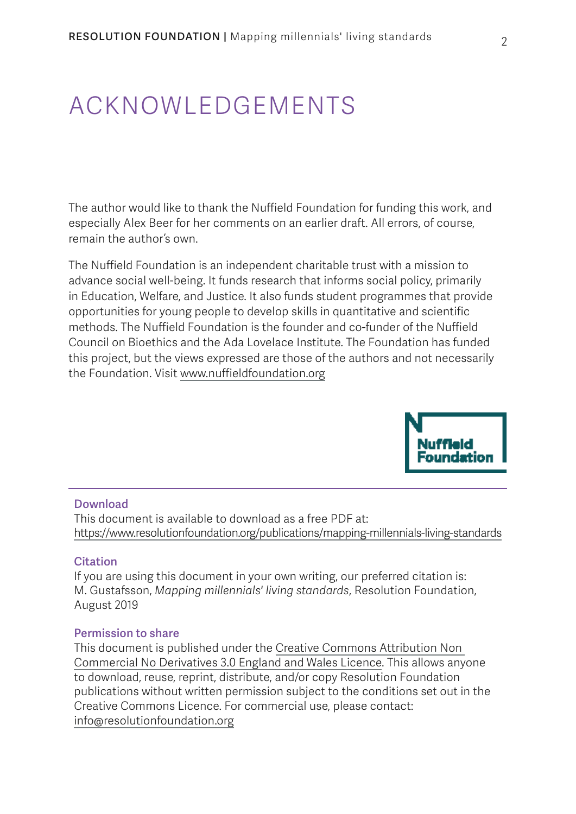# ACKNOWLEDGEMENTS

The author would like to thank the Nuffield Foundation for funding this work, and especially Alex Beer for her comments on an earlier draft. All errors, of course, remain the author's own.

The Nuffield Foundation is an independent charitable trust with a mission to advance social well-being. It funds research that informs social policy, primarily in Education, Welfare, and Justice. It also funds student programmes that provide opportunities for young people to develop skills in quantitative and scientific methods. The Nuffield Foundation is the founder and co-funder of the Nuffield Council on Bioethics and the Ada Lovelace Institute. The Foundation has funded this project, but the views expressed are those of the authors and not necessarily the Foundation. Visit [www.nuffieldfoundation.org](http://www.nuffieldfoundation.org)



#### Download

This document is available to download as a free PDF at: https://www.resolutionfoundation.org/publications/mapping-millennials-living-standards

#### **Citation**

If you are using this document in your own writing, our preferred citation is: M. Gustafsson, *Mapping millennials' living standards*, Resolution Foundation, August 2019

#### Permission to share

This document is published under the [Creative Commons Attribution Non](https://creativecommons.org/licenses/by-nc-nd/3.0/)  [Commercial No Derivatives 3.0 England and Wales Licence.](https://creativecommons.org/licenses/by-nc-nd/3.0/) This allows anyone to download, reuse, reprint, distribute, and/or copy Resolution Foundation publications without written permission subject to the conditions set out in the Creative Commons Licence. For commercial use, please contact: [info@resolutionfoundation.org](mailto:info%40resolutionfoundation.org?subject=)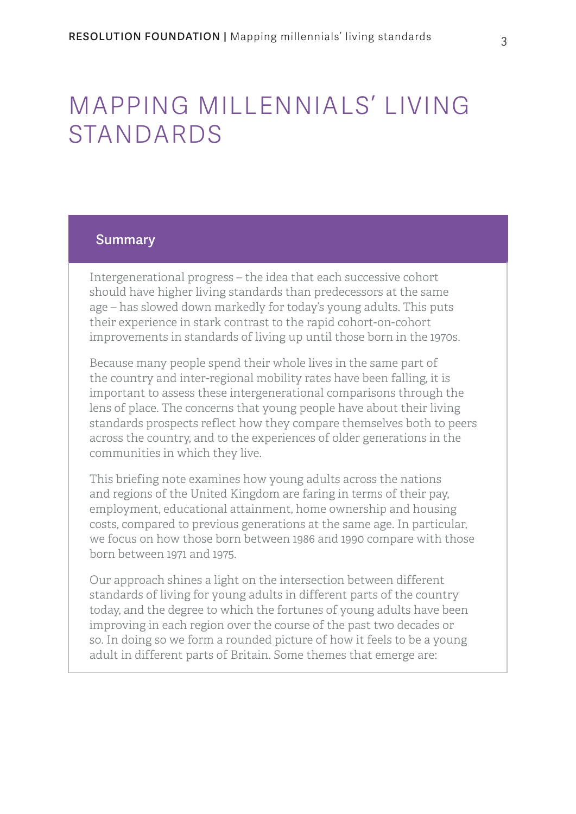# MAPPING MILLENNIALS' LIVING STANDARDS

#### **Summary**

Intergenerational progress – the idea that each successive cohort should have higher living standards than predecessors at the same age – has slowed down markedly for today's young adults. This puts their experience in stark contrast to the rapid cohort-on-cohort improvements in standards of living up until those born in the 1970s.

Because many people spend their whole lives in the same part of the country and inter-regional mobility rates have been falling, it is important to assess these intergenerational comparisons through the lens of place. The concerns that young people have about their living standards prospects reflect how they compare themselves both to peers across the country, and to the experiences of older generations in the communities in which they live.

This briefing note examines how young adults across the nations and regions of the United Kingdom are faring in terms of their pay, employment, educational attainment, home ownership and housing costs, compared to previous generations at the same age. In particular, we focus on how those born between 1986 and 1990 compare with those born between 1971 and 1975.

Our approach shines a light on the intersection between different standards of living for young adults in different parts of the country today, and the degree to which the fortunes of young adults have been improving in each region over the course of the past two decades or so. In doing so we form a rounded picture of how it feels to be a young adult in different parts of Britain. Some themes that emerge are: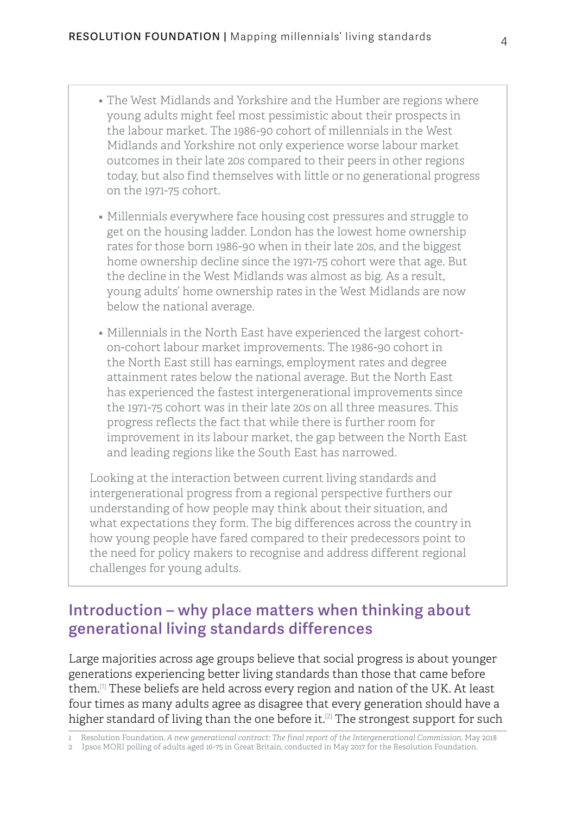- The West Midlands and Yorkshire and the Humber are regions where young adults might feel most pessimistic about their prospects in the labour market. The 1986-90 cohort of millennials in the West Midlands and Yorkshire not only experience worse labour market outcomes in their late 20s compared to their peers in other regions today, but also find themselves with little or no generational progress on the 1971-75 cohort.
- Millennials everywhere face housing cost pressures and struggle to get on the housing ladder. London has the lowest home ownership rates for those born 1986-90 when in their late 20s, and the biggest home ownership decline since the 1971-75 cohort were that age. But the decline in the West Midlands was almost as big. As a result, young adults' home ownership rates in the West Midlands are now below the national average.
- Millennials in the North East have experienced the largest cohorton-cohort labour market improvements. The 1986-90 cohort in the North East still has earnings, employment rates and degree attainment rates below the national average. But the North East has experienced the fastest intergenerational improvements since the 1971-75 cohort was in their late 20s on all three measures. This progress reflects the fact that while there is further room for improvement in its labour market, the gap between the North East and leading regions like the South East has narrowed.

Looking at the interaction between current living standards and intergenerational progress from a regional perspective furthers our understanding of how people may think about their situation, and what expectations they form. The big differences across the country in how young people have fared compared to their predecessors point to the need for policy makers to recognise and address different regional challenges for young adults.

### Introduction – why place matters when thinking about generational living standards differences

Large majorities across age groups believe that social progress is about younger generations experiencing better living standards than those that came before them.[1] These beliefs are held across every region and nation of the UK. At least four times as many adults agree as disagree that every generation should have a higher standard of living than the one before it.<sup>[2]</sup> The strongest support for such

<sup>1</sup> Resolution Foundation, *[A new generational contract: The final report of the Intergenerational Commission](https://www.resolutionfoundation.org/advanced/a-new-generational-contract/)*, May 2018

<sup>2</sup> Ipsos MORI polling of adults aged 16-75 in Great Britain, conducted in May 2017 for the Resolution Foundation.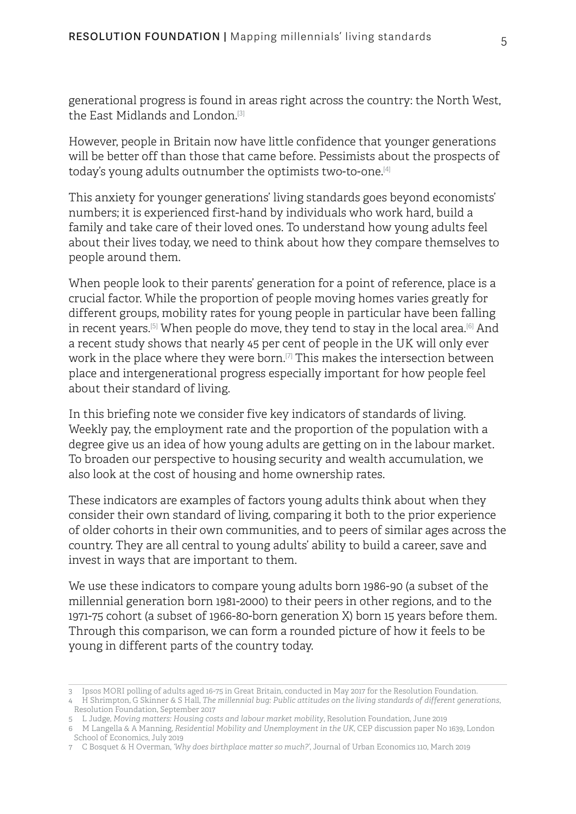generational progress is found in areas right across the country: the North West, the East Midlands and London.<sup>[3]</sup>

However, people in Britain now have little confidence that younger generations will be better off than those that came before. Pessimists about the prospects of today's young adults outnumber the optimists two-to-one.[4]

This anxiety for younger generations' living standards goes beyond economists' numbers; it is experienced first-hand by individuals who work hard, build a family and take care of their loved ones. To understand how young adults feel about their lives today, we need to think about how they compare themselves to people around them.

When people look to their parents' generation for a point of reference, place is a crucial factor. While the proportion of people moving homes varies greatly for different groups, mobility rates for young people in particular have been falling in recent years.[5] When people do move, they tend to stay in the local area.[6] And a recent study shows that nearly 45 per cent of people in the UK will only ever work in the place where they were born.<sup>[7]</sup> This makes the intersection between place and intergenerational progress especially important for how people feel about their standard of living.

In this briefing note we consider five key indicators of standards of living. Weekly pay, the employment rate and the proportion of the population with a degree give us an idea of how young adults are getting on in the labour market. To broaden our perspective to housing security and wealth accumulation, we also look at the cost of housing and home ownership rates.

These indicators are examples of factors young adults think about when they consider their own standard of living, comparing it both to the prior experience of older cohorts in their own communities, and to peers of similar ages across the country. They are all central to young adults' ability to build a career, save and invest in ways that are important to them.

We use these indicators to compare young adults born 1986-90 (a subset of the millennial generation born 1981-2000) to their peers in other regions, and to the 1971-75 cohort (a subset of 1966-80-born generation X) born 15 years before them. Through this comparison, we can form a rounded picture of how it feels to be young in different parts of the country today.

6 M Langella & A Manning, *[Residential Mobility and Unemployment in the UK](http://cep.lse.ac.uk/pubs/download/dp1639.pdf)*, CEP discussion paper No 1639, London School of Economics, July 2019

<sup>3</sup> Ipsos MORI polling of adults aged 16-75 in Great Britain, conducted in May 2017 for the Resolution Foundation.

<sup>4</sup> H Shrimpton, G Skinner & S Hall, *[The millennial bug: Public attitudes on the living standards of different generations](https://www.resolutionfoundation.org/publications/the-millennial-bug-public-attitudes-on-the-living-standards-of-different-generations/)*, Resolution Foundation, September 2017

<sup>5</sup> L Judge, *[Moving matters: Housing costs and labour market mobility](https://www.resolutionfoundation.org/publications/moving-matters-housing-costs-and-labour-market-mobility/)*, Resolution Foundation, June 2019

<sup>7</sup> C Bosquet & H Overman, *['Why does birthplace matter so much?'](https://www.sciencedirect.com/science/article/pii/S0094119019300117)*, Journal of Urban Economics 110, March 2019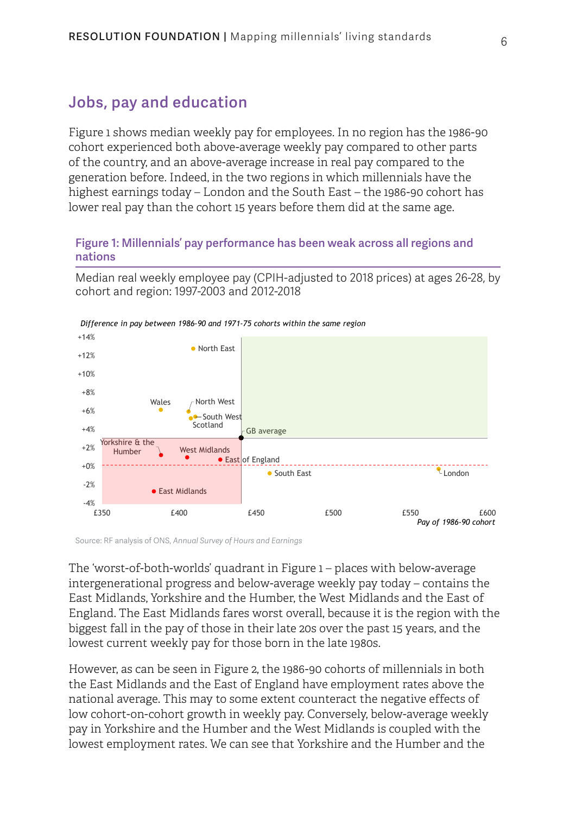### Jobs, pay and education

Figure 1 shows median weekly pay for employees. In no region has the 1986-90 cohort experienced both above-average weekly pay compared to other parts of the country, and an above-average increase in real pay compared to the generation before. Indeed, in the two regions in which millennials have the highest earnings today – London and the South East – the 1986-90 cohort has lower real pay than the cohort 15 years before them did at the same age.

#### <span id="page-5-0"></span>Figure 1: Millennials' pay performance has been weak across all regions and nations

Median real weekly employee pay (CPIH-adjusted to 2018 prices) at ages 26-28, by cohort and region: 1997-2003 and 2012-2018



*Difference in pay between 1986-90 and 1971-75 cohorts within the same region*

Source: RF analysis of ONS, *Annual Survey of Hours and Earnings*

The 'worst-of-both-worlds' quadrant in [Figure 1](#page-5-0) – places with below-average intergenerational progress and below-average weekly pay today – contains the East Midlands, Yorkshire and the Humber, the West Midlands and the East of England. The East Midlands fares worst overall, because it is the region with the biggest fall in the pay of those in their late 20s over the past 15 years, and the lowest current weekly pay for those born in the late 1980s.

However, as can be seen in [Figure 2,](#page-6-0) the 1986-90 cohorts of millennials in both the East Midlands and the East of England have employment rates above the national average. This may to some extent counteract the negative effects of low cohort-on-cohort growth in weekly pay. Conversely, below-average weekly pay in Yorkshire and the Humber and the West Midlands is coupled with the lowest employment rates. We can see that Yorkshire and the Humber and the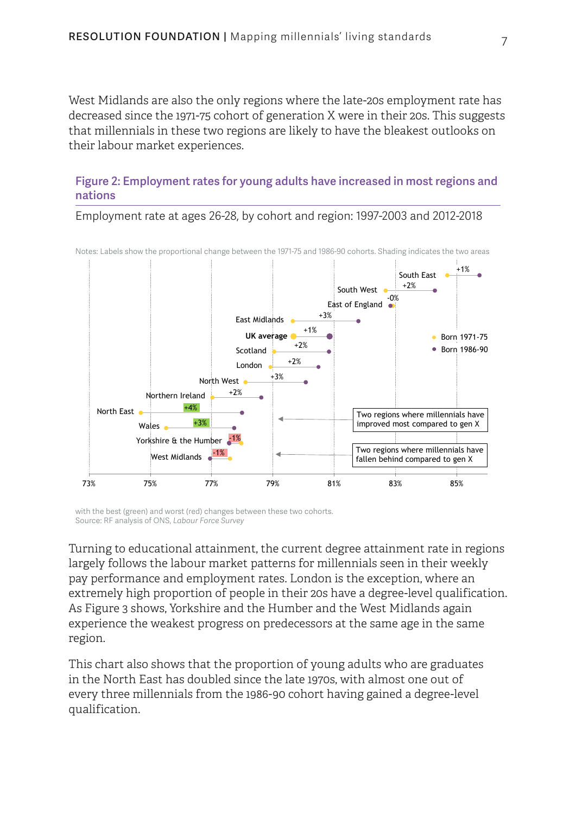West Midlands are also the only regions where the late-20s employment rate has decreased since the 1971-75 cohort of generation X were in their 20s. This suggests that millennials in these two regions are likely to have the bleakest outlooks on their labour market experiences.

#### <span id="page-6-0"></span>Figure 2: Employment rates for young adults have increased in most regions and nations



Employment rate at ages 26-28, by cohort and region: 1997-2003 and 2012-2018

with the best (green) and worst (red) changes between these two cohorts. Source: RF analysis of ONS, *Labour Force Survey*

Turning to educational attainment, the current degree attainment rate in regions largely follows the labour market patterns for millennials seen in their weekly pay performance and employment rates. London is the exception, where an extremely high proportion of people in their 20s have a degree-level qualification. As [Figure 3](#page-7-0) shows, Yorkshire and the Humber and the West Midlands again experience the weakest progress on predecessors at the same age in the same region.

This chart also shows that the proportion of young adults who are graduates in the North East has doubled since the late 1970s, with almost one out of every three millennials from the 1986-90 cohort having gained a degree-level qualification.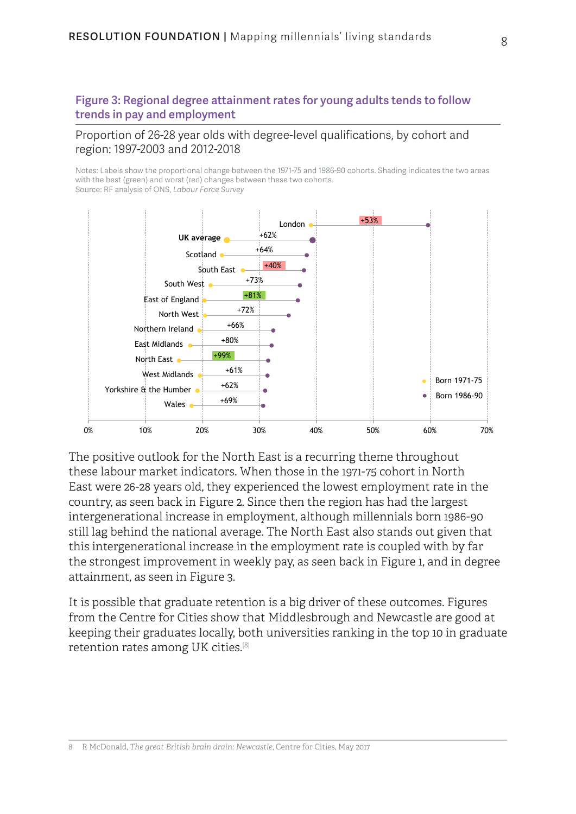#### <span id="page-7-0"></span>Figure 3: Regional degree attainment rates for young adults tends to follow trends in pay and employment

#### Proportion of 26-28 year olds with degree-level qualifications, by cohort and region: 1997-2003 and 2012-2018

Notes: Labels show the proportional change between the 1971-75 and 1986-90 cohorts. Shading indicates the two areas with the best (green) and worst (red) changes between these two cohorts. Source: RF analysis of ONS, *Labour Force Survey*



The positive outlook for the North East is a recurring theme throughout these labour market indicators. When those in the 1971-75 cohort in North East were 26-28 years old, they experienced the lowest employment rate in the country, as seen back in [Figure 2](#page-6-0). Since then the region has had the largest intergenerational increase in employment, although millennials born 1986-90 still lag behind the national average. The North East also stands out given that this intergenerational increase in the employment rate is coupled with by far the strongest improvement in weekly pay, as seen back in [Figure 1,](#page-5-0) and in degree attainment, as seen in [Figure 3.](#page-7-0)

It is possible that graduate retention is a big driver of these outcomes. Figures from the Centre for Cities show that Middlesbrough and Newcastle are good at keeping their graduates locally, both universities ranking in the top 10 in graduate retention rates among UK cities.[8]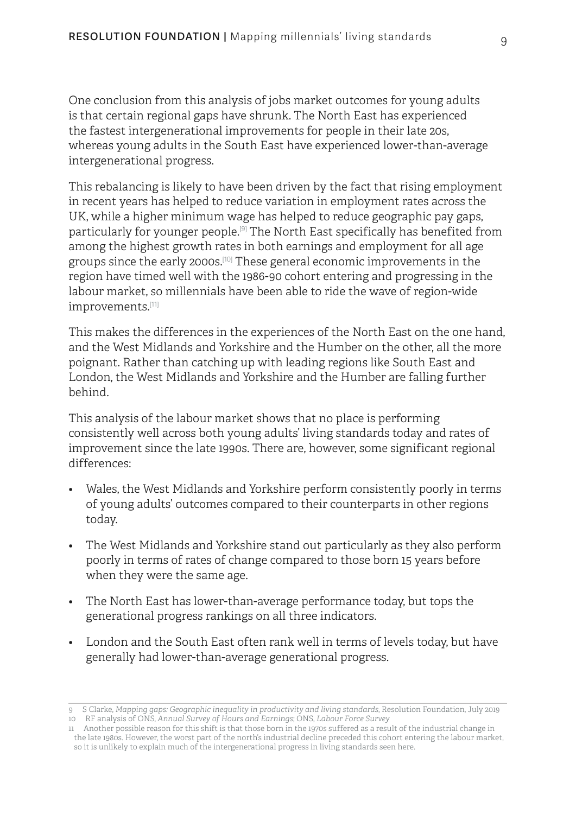One conclusion from this analysis of jobs market outcomes for young adults is that certain regional gaps have shrunk. The North East has experienced the fastest intergenerational improvements for people in their late 20s, whereas young adults in the South East have experienced lower-than-average intergenerational progress.

This rebalancing is likely to have been driven by the fact that rising employment in recent years has helped to reduce variation in employment rates across the UK, while a higher minimum wage has helped to reduce geographic pay gaps, particularly for younger people.[9] The North East specifically has benefited from among the highest growth rates in both earnings and employment for all age groups since the early 2000s.[10] These general economic improvements in the region have timed well with the 1986-90 cohort entering and progressing in the labour market, so millennials have been able to ride the wave of region-wide improvements.[11]

This makes the differences in the experiences of the North East on the one hand, and the West Midlands and Yorkshire and the Humber on the other, all the more poignant. Rather than catching up with leading regions like South East and London, the West Midlands and Yorkshire and the Humber are falling further behind.

This analysis of the labour market shows that no place is performing consistently well across both young adults' living standards today and rates of improvement since the late 1990s. There are, however, some significant regional differences:

- Wales, the West Midlands and Yorkshire perform consistently poorly in terms of young adults' outcomes compared to their counterparts in other regions today.
- The West Midlands and Yorkshire stand out particularly as they also perform poorly in terms of rates of change compared to those born 15 years before when they were the same age.
- The North East has lower-than-average performance today, but tops the generational progress rankings on all three indicators.
- London and the South East often rank well in terms of levels today, but have generally had lower-than-average generational progress.

<sup>9</sup> S Clarke, *[Mapping gaps: Geographic inequality in productivity and living standards](https://www.resolutionfoundation.org/publications/mapping-gaps-geographic-inequality-in-productivity-and-living-standards/)*, Resolution Foundation, July 2019 10 RF analysis of ONS, *Annual Survey of Hours and Earnings*; ONS, *Labour Force Survey*

<sup>11</sup> Another possible reason for this shift is that those born in the 1970s suffered as a result of the industrial change in the late 1980s. However, the worst part of the north's industrial decline preceded this cohort entering the labour market, so it is unlikely to explain much of the intergenerational progress in living standards seen here.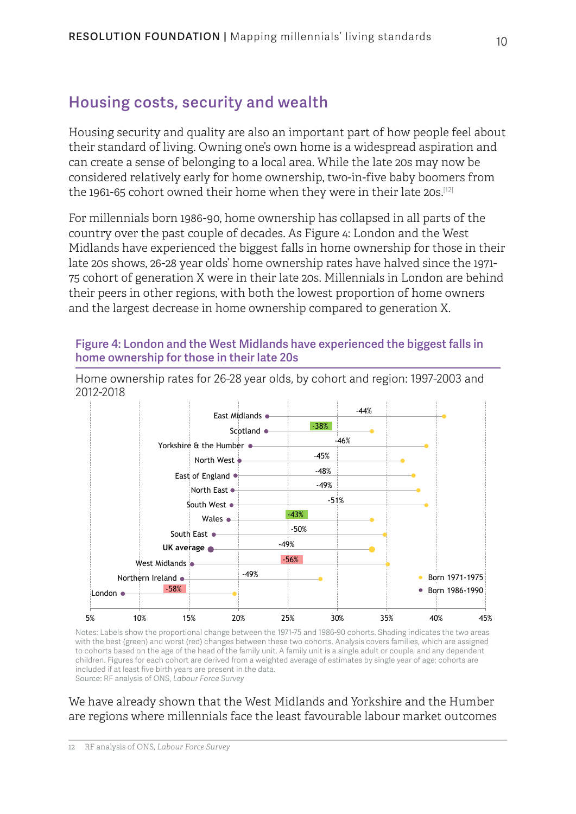## Housing costs, security and wealth

Housing security and quality are also an important part of how people feel about their standard of living. Owning one's own home is a widespread aspiration and can create a sense of belonging to a local area. While the late 20s may now be considered relatively early for home ownership, two-in-five baby boomers from the 1961-65 cohort owned their home when they were in their late 20s.<sup>[12]</sup>

For millennials born 1986-90, home ownership has collapsed in all parts of the country over the past couple of decades. As [Figure 4: London and the West](#page-9-0)  [Midlands have experienced the biggest falls in home ownership for those in their](#page-9-0)  [late 20s](#page-9-0) shows, 26-28 year olds' home ownership rates have halved since the 1971- 75 cohort of generation X were in their late 20s. Millennials in London are behind their peers in other regions, with both the lowest proportion of home owners and the largest decrease in home ownership compared to generation X.

#### <span id="page-9-0"></span>Figure 4: London and the West Midlands have experienced the biggest falls in home ownership for those in their late 20s

5% 10% 15% 20% 25% 30% 35% 40% 45% South East  $\bullet$ East of England  $\bullet$ South West  $\bullet$ **UK average** East Midlands Scotland  $\bullet$ London  $\bullet$ North West Yorkshire & the Humber West Midlands Northern Ireland . Wales  $\bullet$ North East  $\bullet$ ● Born 1971-1975 -58% Born 1986-1990 -56% -49% -49% -50% -43% -38% -51% -49% -48% -45% -46%  $-44%$ 

Home ownership rates for 26-28 year olds, by cohort and region: 1997-2003 and 2012-2018

Notes: Labels show the proportional change between the 1971-75 and 1986-90 cohorts. Shading indicates the two areas with the best (green) and worst (red) changes between these two cohorts. Analysis covers families, which are assigned to cohorts based on the age of the head of the family unit. A family unit is a single adult or couple, and any dependent children. Figures for each cohort are derived from a weighted average of estimates by single year of age; cohorts are included if at least five birth years are present in the data. Source: RF analysis of ONS, *Labour Force Survey*

#### We have already shown that the West Midlands and Yorkshire and the Humber are regions where millennials face the least favourable labour market outcomes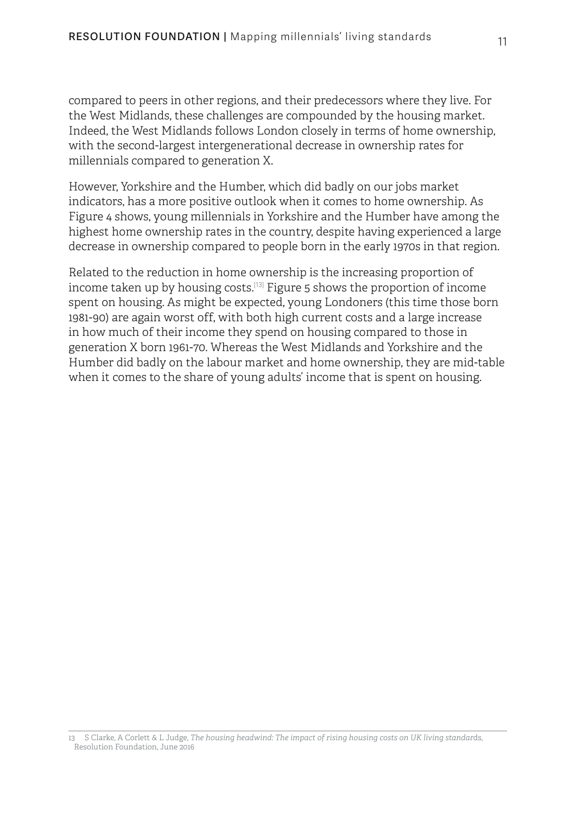compared to peers in other regions, and their predecessors where they live. For the West Midlands, these challenges are compounded by the housing market. Indeed, the West Midlands follows London closely in terms of home ownership, with the second-largest intergenerational decrease in ownership rates for millennials compared to generation X.

However, Yorkshire and the Humber, which did badly on our jobs market indicators, has a more positive outlook when it comes to home ownership. As [Figure 4](#page-9-0) shows, young millennials in Yorkshire and the Humber have among the highest home ownership rates in the country, despite having experienced a large decrease in ownership compared to people born in the early 1970s in that region.

Related to the reduction in home ownership is the increasing proportion of income taken up by housing costs.[13] [Figure 5](#page-11-0) shows the proportion of income spent on housing. As might be expected, young Londoners (this time those born 1981-90) are again worst off, with both high current costs and a large increase in how much of their income they spend on housing compared to those in generation X born 1961-70. Whereas the West Midlands and Yorkshire and the Humber did badly on the labour market and home ownership, they are mid-table when it comes to the share of young adults' income that is spent on housing.

<sup>13</sup> S Clarke, A Corlett & L Judge, *[The housing headwind: The impact of rising housing costs on UK living standar](https://www.resolutionfoundation.org/publications/the-housing-headwind-the-impact-of-rising-housing-costs-on-uk-living-standards/)*ds, Resolution Foundation, June 2016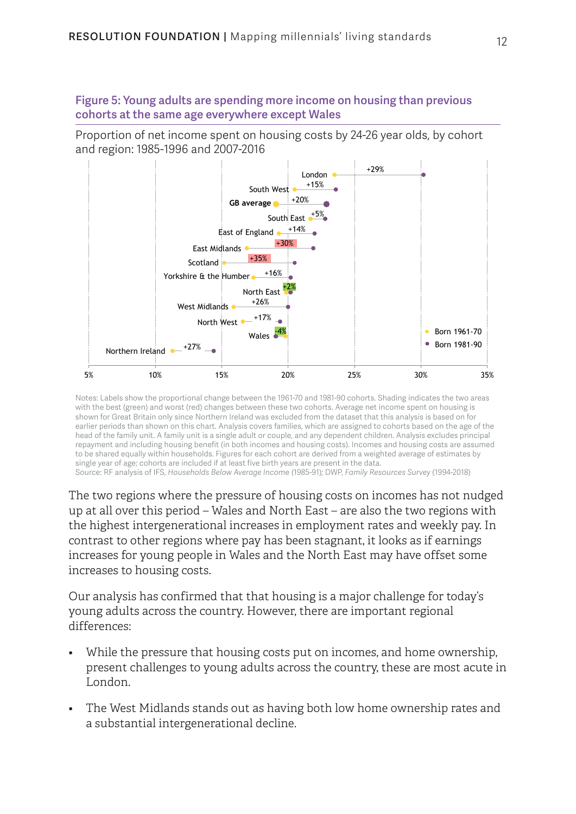<span id="page-11-0"></span>Figure 5: Young adults are spending more income on housing than previous cohorts at the same age everywhere except Wales

Proportion of net income spent on housing costs by 24-26 year olds, by cohort and region: 1985-1996 and 2007-2016



Notes: Labels show the proportional change between the 1961-70 and 1981-90 cohorts. Shading indicates the two areas with the best (green) and worst (red) changes between these two cohorts. Average net income spent on housing is shown for Great Britain only since Northern Ireland was excluded from the dataset that this analysis is based on for earlier periods than shown on this chart. Analysis covers families, which are assigned to cohorts based on the age of the head of the family unit. A family unit is a single adult or couple, and any dependent children. Analysis excludes principal repayment and including housing benefit (in both incomes and housing costs). Incomes and housing costs are assumed to be shared equally within households. Figures for each cohort are derived from a weighted average of estimates by single year of age; cohorts are included if at least five birth years are present in the data. Source: RF analysis of IFS, *Households Below Average Incom*e (1985-91); DWP, *Family Resources Survey* (1994-2018)

The two regions where the pressure of housing costs on incomes has not nudged up at all over this period – Wales and North East – are also the two regions with the highest intergenerational increases in employment rates and weekly pay. In contrast to other regions where pay has been stagnant, it looks as if earnings increases for young people in Wales and the North East may have offset some increases to housing costs.

Our analysis has confirmed that that housing is a major challenge for today's young adults across the country. However, there are important regional differences:

- While the pressure that housing costs put on incomes, and home ownership, present challenges to young adults across the country, these are most acute in London.
- The West Midlands stands out as having both low home ownership rates and a substantial intergenerational decline.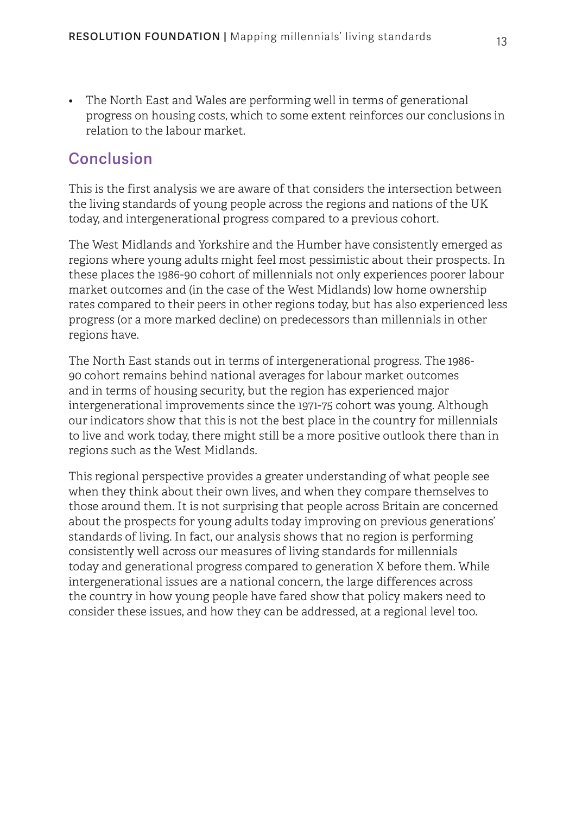• The North East and Wales are performing well in terms of generational progress on housing costs, which to some extent reinforces our conclusions in relation to the labour market.

### Conclusion

This is the first analysis we are aware of that considers the intersection between the living standards of young people across the regions and nations of the UK today, and intergenerational progress compared to a previous cohort.

The West Midlands and Yorkshire and the Humber have consistently emerged as regions where young adults might feel most pessimistic about their prospects. In these places the 1986-90 cohort of millennials not only experiences poorer labour market outcomes and (in the case of the West Midlands) low home ownership rates compared to their peers in other regions today, but has also experienced less progress (or a more marked decline) on predecessors than millennials in other regions have.

The North East stands out in terms of intergenerational progress. The 1986- 90 cohort remains behind national averages for labour market outcomes and in terms of housing security, but the region has experienced major intergenerational improvements since the 1971-75 cohort was young. Although our indicators show that this is not the best place in the country for millennials to live and work today, there might still be a more positive outlook there than in regions such as the West Midlands.

This regional perspective provides a greater understanding of what people see when they think about their own lives, and when they compare themselves to those around them. It is not surprising that people across Britain are concerned about the prospects for young adults today improving on previous generations' standards of living. In fact, our analysis shows that no region is performing consistently well across our measures of living standards for millennials today and generational progress compared to generation X before them. While intergenerational issues are a national concern, the large differences across the country in how young people have fared show that policy makers need to consider these issues, and how they can be addressed, at a regional level too.